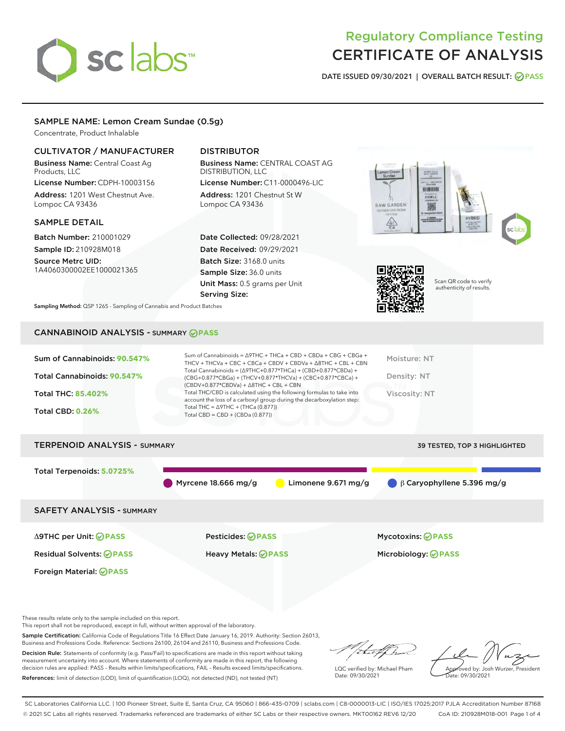

# Regulatory Compliance Testing CERTIFICATE OF ANALYSIS

DATE ISSUED 09/30/2021 | OVERALL BATCH RESULT: @ PASS

## SAMPLE NAME: Lemon Cream Sundae (0.5g)

Concentrate, Product Inhalable

## CULTIVATOR / MANUFACTURER

Business Name: Central Coast Ag Products, LLC License Number: CDPH-10003156

Address: 1201 West Chestnut Ave. Lompoc CA 93436

## SAMPLE DETAIL

Batch Number: 210001029 Sample ID: 210928M018

Source Metrc UID: 1A4060300002EE1000021365

## DISTRIBUTOR

Business Name: CENTRAL COAST AG DISTRIBUTION, LLC

License Number: C11-0000496-LIC Address: 1201 Chestnut St W Lompoc CA 93436

Date Collected: 09/28/2021 Date Received: 09/29/2021 Batch Size: 3168.0 units Sample Size: 36.0 units Unit Mass: 0.5 grams per Unit Serving Size:





Scan QR code to verify authenticity of results.

Sampling Method: QSP 1265 - Sampling of Cannabis and Product Batches

## CANNABINOID ANALYSIS - SUMMARY **PASS**

| Sum of Cannabinoids: 90.547%<br>Total Cannabinoids: 90.547%<br><b>Total THC: 85.402%</b><br><b>Total CBD: 0.26%</b> | Sum of Cannabinoids = $\triangle$ 9THC + THCa + CBD + CBDa + CBG + CBGa +<br>THCV + THCVa + CBC + CBCa + CBDV + CBDVa + $\Delta$ 8THC + CBL + CBN<br>Total Cannabinoids = $(\Delta$ 9THC+0.877*THCa) + (CBD+0.877*CBDa) +<br>(CBG+0.877*CBGa) + (THCV+0.877*THCVa) + (CBC+0.877*CBCa) +<br>$(CBDV+0.877*CBDVa) + \Delta 8THC + CBL + CBN$<br>Total THC/CBD is calculated using the following formulas to take into<br>account the loss of a carboxyl group during the decarboxylation step:<br>Total THC = $\triangle$ 9THC + (THCa (0.877))<br>Total CBD = CBD + (CBDa (0.877)) | Moisture: NT<br>Density: NT<br>Viscosity: NT |
|---------------------------------------------------------------------------------------------------------------------|----------------------------------------------------------------------------------------------------------------------------------------------------------------------------------------------------------------------------------------------------------------------------------------------------------------------------------------------------------------------------------------------------------------------------------------------------------------------------------------------------------------------------------------------------------------------------------|----------------------------------------------|
| <b>TERPENOID ANALYSIS - SUMMARY</b>                                                                                 |                                                                                                                                                                                                                                                                                                                                                                                                                                                                                                                                                                                  | <b>39 TESTED, TOP 3 HIGHLIGHTED</b>          |
| Total Terpenoids: 5.0725%                                                                                           | Limonene $9.671$ mg/g<br>Myrcene $18.666$ mg/g                                                                                                                                                                                                                                                                                                                                                                                                                                                                                                                                   | $\beta$ Caryophyllene 5.396 mg/g             |
| <b>SAFETY ANALYSIS - SUMMARY</b>                                                                                    |                                                                                                                                                                                                                                                                                                                                                                                                                                                                                                                                                                                  |                                              |
| ∆9THC per Unit: ⊘PASS                                                                                               | Pesticides: ⊘PASS                                                                                                                                                                                                                                                                                                                                                                                                                                                                                                                                                                | <b>Mycotoxins: ⊘PASS</b>                     |
| <b>Residual Solvents: ⊘PASS</b>                                                                                     | Heavy Metals: <b>PASS</b>                                                                                                                                                                                                                                                                                                                                                                                                                                                                                                                                                        | Microbiology: <b>OPASS</b>                   |
| Foreign Material: <b>⊘ PASS</b>                                                                                     |                                                                                                                                                                                                                                                                                                                                                                                                                                                                                                                                                                                  |                                              |

These results relate only to the sample included on this report.

This report shall not be reproduced, except in full, without written approval of the laboratory.

Sample Certification: California Code of Regulations Title 16 Effect Date January 16, 2019. Authority: Section 26013, Business and Professions Code. Reference: Sections 26100, 26104 and 26110, Business and Professions Code.

Decision Rule: Statements of conformity (e.g. Pass/Fail) to specifications are made in this report without taking measurement uncertainty into account. Where statements of conformity are made in this report, the following decision rules are applied: PASS – Results within limits/specifications, FAIL – Results exceed limits/specifications. References: limit of detection (LOD), limit of quantification (LOQ), not detected (ND), not tested (NT)

/ that for

LQC verified by: Michael Pham Date: 09/30/2021

Approved by: Josh Wurzer, President Date: 09/30/2021

SC Laboratories California LLC. | 100 Pioneer Street, Suite E, Santa Cruz, CA 95060 | 866-435-0709 | sclabs.com | C8-0000013-LIC | ISO/IES 17025:2017 PJLA Accreditation Number 87168 © 2021 SC Labs all rights reserved. Trademarks referenced are trademarks of either SC Labs or their respective owners. MKT00162 REV6 12/20 CoA ID: 210928M018-001 Page 1 of 4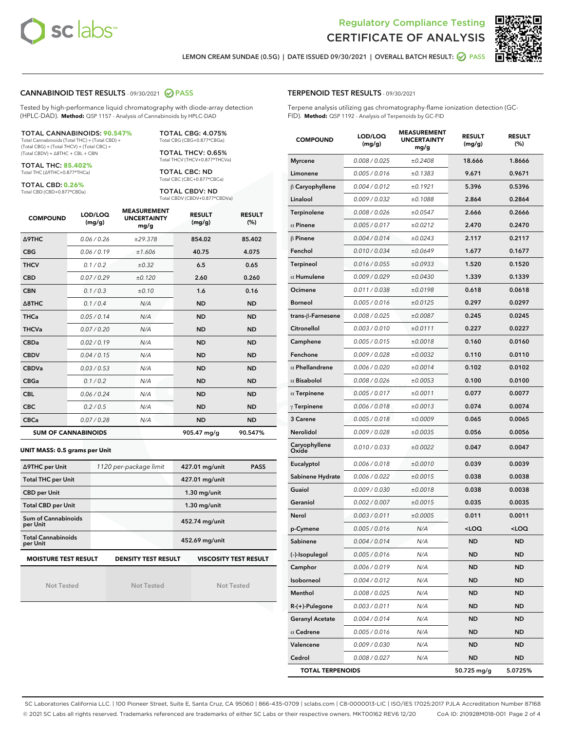



LEMON CREAM SUNDAE (0.5G) | DATE ISSUED 09/30/2021 | OVERALL BATCH RESULT:  $\bigcirc$  PASS

## CANNABINOID TEST RESULTS - 09/30/2021 2 PASS

Tested by high-performance liquid chromatography with diode-array detection (HPLC-DAD). **Method:** QSP 1157 - Analysis of Cannabinoids by HPLC-DAD

#### TOTAL CANNABINOIDS: **90.547%**

Total Cannabinoids (Total THC) + (Total CBD) + (Total CBG) + (Total THCV) + (Total CBC) + (Total CBDV) + ∆8THC + CBL + CBN

TOTAL THC: **85.402%** Total THC (∆9THC+0.877\*THCa)

TOTAL CBD: **0.26%**

Total CBD (CBD+0.877\*CBDa)

TOTAL CBG: 4.075% Total CBG (CBG+0.877\*CBGa)

TOTAL THCV: 0.65% Total THCV (THCV+0.877\*THCVa)

TOTAL CBC: ND Total CBC (CBC+0.877\*CBCa)

TOTAL CBDV: ND Total CBDV (CBDV+0.877\*CBDVa)

| <b>COMPOUND</b>  | LOD/LOQ<br>(mg/g)          | <b>MEASUREMENT</b><br><b>UNCERTAINTY</b><br>mg/g | <b>RESULT</b><br>(mg/g) | <b>RESULT</b><br>(%) |
|------------------|----------------------------|--------------------------------------------------|-------------------------|----------------------|
| <b>A9THC</b>     | 0.06 / 0.26                | ±29.378                                          | 854.02                  | 85.402               |
| <b>CBG</b>       | 0.06/0.19                  | ±1.606                                           | 40.75                   | 4.075                |
| <b>THCV</b>      | 0.1 / 0.2                  | $\pm 0.32$                                       | 6.5                     | 0.65                 |
| <b>CBD</b>       | 0.07/0.29                  | ±0.120                                           | 2.60                    | 0.260                |
| <b>CBN</b>       | 0.1/0.3                    | ±0.10                                            | 1.6                     | 0.16                 |
| $\triangle$ 8THC | 0.1/0.4                    | N/A                                              | <b>ND</b>               | <b>ND</b>            |
| <b>THCa</b>      | 0.05/0.14                  | N/A                                              | <b>ND</b>               | <b>ND</b>            |
| <b>THCVa</b>     | 0.07/0.20                  | N/A                                              | <b>ND</b>               | <b>ND</b>            |
| <b>CBDa</b>      | 0.02/0.19                  | N/A                                              | <b>ND</b>               | <b>ND</b>            |
| <b>CBDV</b>      | 0.04/0.15                  | N/A                                              | <b>ND</b>               | <b>ND</b>            |
| <b>CBDVa</b>     | 0.03/0.53                  | N/A                                              | <b>ND</b>               | <b>ND</b>            |
| <b>CBGa</b>      | 0.1/0.2                    | N/A                                              | <b>ND</b>               | <b>ND</b>            |
| <b>CBL</b>       | 0.06 / 0.24                | N/A                                              | <b>ND</b>               | <b>ND</b>            |
| <b>CBC</b>       | 0.2 / 0.5                  | N/A                                              | <b>ND</b>               | <b>ND</b>            |
| <b>CBCa</b>      | 0.07 / 0.28                | N/A                                              | <b>ND</b>               | <b>ND</b>            |
|                  | <b>SUM OF CANNABINOIDS</b> |                                                  | 905.47 mg/g             | 90.547%              |

#### **UNIT MASS: 0.5 grams per Unit**

| ∆9THC per Unit                        | 1120 per-package limit     | 427.01 mg/unit<br><b>PASS</b> |
|---------------------------------------|----------------------------|-------------------------------|
| <b>Total THC per Unit</b>             |                            | 427.01 mg/unit                |
| <b>CBD per Unit</b>                   |                            | $1.30$ mg/unit                |
| <b>Total CBD per Unit</b>             |                            | $1.30$ mg/unit                |
| Sum of Cannabinoids<br>per Unit       |                            | 452.74 mg/unit                |
| <b>Total Cannabinoids</b><br>per Unit |                            | 452.69 mg/unit                |
| <b>MOISTURE TEST RESULT</b>           | <b>DENSITY TEST RESULT</b> | <b>VISCOSITY TEST RESULT</b>  |

Not Tested

Not Tested

Not Tested

## TERPENOID TEST RESULTS - 09/30/2021

Terpene analysis utilizing gas chromatography-flame ionization detection (GC-FID). **Method:** QSP 1192 - Analysis of Terpenoids by GC-FID

| <b>COMPOUND</b>         | LOD/LOQ<br>(mg/g) | <b>MEASUREMENT</b><br><b>UNCERTAINTY</b><br>mg/g | <b>RESULT</b><br>(mg/g)                         | <b>RESULT</b><br>$(\%)$ |
|-------------------------|-------------------|--------------------------------------------------|-------------------------------------------------|-------------------------|
| <b>Myrcene</b>          | 0.008 / 0.025     | ±0.2408                                          | 18.666                                          | 1.8666                  |
| Limonene                | 0.005 / 0.016     | ±0.1383                                          | 9.671                                           | 0.9671                  |
| $\beta$ Caryophyllene   | 0.004 / 0.012     | ±0.1921                                          | 5.396                                           | 0.5396                  |
| Linalool                | 0.009 / 0.032     | ±0.1088                                          | 2.864                                           | 0.2864                  |
| Terpinolene             | 0.008 / 0.026     | ±0.0547                                          | 2.666                                           | 0.2666                  |
| $\alpha$ Pinene         | 0.005 / 0.017     | ±0.0212                                          | 2.470                                           | 0.2470                  |
| $\beta$ Pinene          | 0.004 / 0.014     | ±0.0243                                          | 2.117                                           | 0.2117                  |
| Fenchol                 | 0.010 / 0.034     | ±0.0649                                          | 1.677                                           | 0.1677                  |
| <b>Terpineol</b>        | 0.016 / 0.055     | ±0.0933                                          | 1.520                                           | 0.1520                  |
| $\alpha$ Humulene       | 0.009 / 0.029     | ±0.0430                                          | 1.339                                           | 0.1339                  |
| Ocimene                 | 0.011 / 0.038     | ±0.0198                                          | 0.618                                           | 0.0618                  |
| <b>Borneol</b>          | 0.005 / 0.016     | ±0.0125                                          | 0.297                                           | 0.0297                  |
| trans-ß-Farnesene       | 0.008 / 0.025     | ±0.0087                                          | 0.245                                           | 0.0245                  |
| Citronellol             | 0.003 / 0.010     | ±0.0111                                          | 0.227                                           | 0.0227                  |
| Camphene                | 0.005 / 0.015     | ±0.0018                                          | 0.160                                           | 0.0160                  |
| Fenchone                | 0.009 / 0.028     | ±0.0032                                          | 0.110                                           | 0.0110                  |
| $\alpha$ Phellandrene   | 0.006 / 0.020     | ±0.0014                                          | 0.102                                           | 0.0102                  |
| $\alpha$ Bisabolol      | 0.008 / 0.026     | ±0.0053                                          | 0.100                                           | 0.0100                  |
| $\alpha$ Terpinene      | 0.005 / 0.017     | ±0.0011                                          | 0.077                                           | 0.0077                  |
| $\gamma$ Terpinene      | 0.006 / 0.018     | ±0.0013                                          | 0.074                                           | 0.0074                  |
| 3 Carene                | 0.005 / 0.018     | ±0.0009                                          | 0.065                                           | 0.0065                  |
| Nerolidol               | 0.009 / 0.028     | ±0.0035                                          | 0.056                                           | 0.0056                  |
| Caryophyllene<br>Oxide  | 0.010 / 0.033     | ±0.0022                                          | 0.047                                           | 0.0047                  |
| Eucalyptol              | 0.006 / 0.018     | ±0.0010                                          | 0.039                                           | 0.0039                  |
| Sabinene Hydrate        | 0.006 / 0.022     | ±0.0015                                          | 0.038                                           | 0.0038                  |
| Guaiol                  | 0.009 / 0.030     | ±0.0018                                          | 0.038                                           | 0.0038                  |
| Geraniol                | 0.002 / 0.007     | ±0.0015                                          | 0.035                                           | 0.0035                  |
| Nerol                   | 0.003 / 0.011     | ±0.0005                                          | 0.011                                           | 0.0011                  |
| p-Cymene                | 0.005 / 0.016     | N/A                                              | <loq< th=""><th><loq< th=""></loq<></th></loq<> | <loq< th=""></loq<>     |
| Sabinene                | 0.004 / 0.014     | N/A                                              | <b>ND</b>                                       | <b>ND</b>               |
| (-)-Isopulegol          | 0.005 / 0.016     | N/A                                              | ND                                              | ND                      |
| Camphor                 | 0.006 / 0.019     | N/A                                              | <b>ND</b>                                       | <b>ND</b>               |
| Isoborneol              | 0.004 / 0.012     | N/A                                              | ND                                              | <b>ND</b>               |
| Menthol                 | 0.008 / 0.025     | N/A                                              | ND                                              | <b>ND</b>               |
| $R-(+)$ -Pulegone       | 0.003 / 0.011     | N/A                                              | ND                                              | ND                      |
| <b>Geranyl Acetate</b>  | 0.004 / 0.014     | N/A                                              | ND                                              | ND                      |
| $\alpha$ Cedrene        | 0.005 / 0.016     | N/A                                              | ND                                              | ND                      |
| Valencene               | 0.009 / 0.030     | N/A                                              | ND                                              | ND                      |
| Cedrol                  | 0.008 / 0.027     | N/A                                              | ND                                              | ND                      |
| <b>TOTAL TERPENOIDS</b> |                   |                                                  | 50.725 mg/g                                     | 5.0725%                 |

SC Laboratories California LLC. | 100 Pioneer Street, Suite E, Santa Cruz, CA 95060 | 866-435-0709 | sclabs.com | C8-0000013-LIC | ISO/IES 17025:2017 PJLA Accreditation Number 87168 © 2021 SC Labs all rights reserved. Trademarks referenced are trademarks of either SC Labs or their respective owners. MKT00162 REV6 12/20 CoA ID: 210928M018-001 Page 2 of 4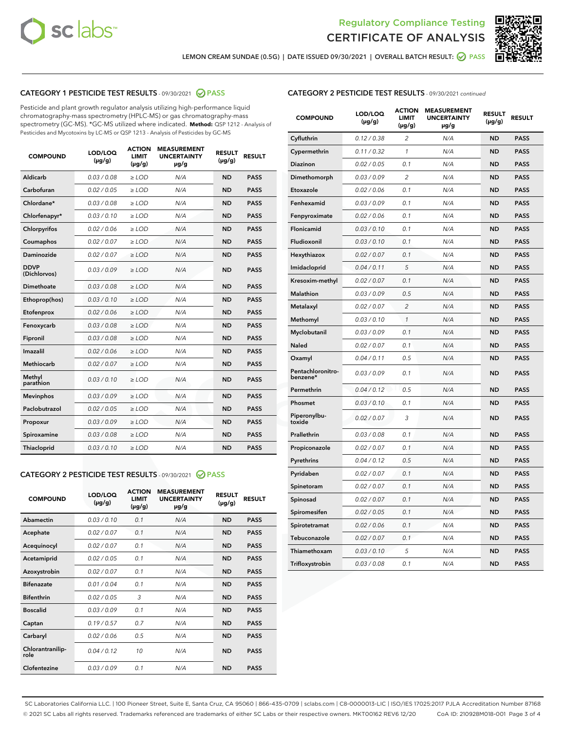



LEMON CREAM SUNDAE (0.5G) | DATE ISSUED 09/30/2021 | OVERALL BATCH RESULT: @ PASS

## CATEGORY 1 PESTICIDE TEST RESULTS - 09/30/2021 2 PASS

Pesticide and plant growth regulator analysis utilizing high-performance liquid chromatography-mass spectrometry (HPLC-MS) or gas chromatography-mass spectrometry (GC-MS). \*GC-MS utilized where indicated. **Method:** QSP 1212 - Analysis of Pesticides and Mycotoxins by LC-MS or QSP 1213 - Analysis of Pesticides by GC-MS

| <b>COMPOUND</b>             | LOD/LOQ<br>$(\mu g/g)$ | <b>ACTION</b><br><b>LIMIT</b><br>$(\mu q/q)$ | <b>MEASUREMENT</b><br><b>UNCERTAINTY</b><br>$\mu$ g/g | <b>RESULT</b><br>$(\mu g/g)$ | <b>RESULT</b> |
|-----------------------------|------------------------|----------------------------------------------|-------------------------------------------------------|------------------------------|---------------|
| Aldicarb                    | 0.03 / 0.08            | $\ge$ LOD                                    | N/A                                                   | <b>ND</b>                    | <b>PASS</b>   |
| Carbofuran                  | 0.02 / 0.05            | $\ge$ LOD                                    | N/A                                                   | <b>ND</b>                    | <b>PASS</b>   |
| Chlordane*                  | 0.03 / 0.08            | $\ge$ LOD                                    | N/A                                                   | <b>ND</b>                    | <b>PASS</b>   |
| Chlorfenapyr*               | 0.03/0.10              | $\ge$ LOD                                    | N/A                                                   | <b>ND</b>                    | <b>PASS</b>   |
| Chlorpyrifos                | 0.02 / 0.06            | $\ge$ LOD                                    | N/A                                                   | <b>ND</b>                    | <b>PASS</b>   |
| Coumaphos                   | 0.02 / 0.07            | $\ge$ LOD                                    | N/A                                                   | <b>ND</b>                    | <b>PASS</b>   |
| Daminozide                  | 0.02 / 0.07            | $\ge$ LOD                                    | N/A                                                   | <b>ND</b>                    | <b>PASS</b>   |
| <b>DDVP</b><br>(Dichlorvos) | 0.03/0.09              | $>$ LOD                                      | N/A                                                   | <b>ND</b>                    | <b>PASS</b>   |
| Dimethoate                  | 0.03 / 0.08            | $\ge$ LOD                                    | N/A                                                   | <b>ND</b>                    | <b>PASS</b>   |
| Ethoprop(hos)               | 0.03/0.10              | $\ge$ LOD                                    | N/A                                                   | <b>ND</b>                    | <b>PASS</b>   |
| Etofenprox                  | 0.02/0.06              | $>$ LOD                                      | N/A                                                   | <b>ND</b>                    | <b>PASS</b>   |
| Fenoxycarb                  | 0.03 / 0.08            | $\ge$ LOD                                    | N/A                                                   | <b>ND</b>                    | <b>PASS</b>   |
| Fipronil                    | 0.03/0.08              | $>$ LOD                                      | N/A                                                   | <b>ND</b>                    | <b>PASS</b>   |
| Imazalil                    | 0.02 / 0.06            | $\ge$ LOD                                    | N/A                                                   | <b>ND</b>                    | <b>PASS</b>   |
| Methiocarb                  | 0.02 / 0.07            | $\ge$ LOD                                    | N/A                                                   | <b>ND</b>                    | <b>PASS</b>   |
| Methyl<br>parathion         | 0.03/0.10              | $>$ LOD                                      | N/A                                                   | <b>ND</b>                    | <b>PASS</b>   |
| <b>Mevinphos</b>            | 0.03/0.09              | $>$ LOD                                      | N/A                                                   | <b>ND</b>                    | <b>PASS</b>   |
| Paclobutrazol               | 0.02 / 0.05            | $\ge$ LOD                                    | N/A                                                   | <b>ND</b>                    | <b>PASS</b>   |
| Propoxur                    | 0.03 / 0.09            | $\ge$ LOD                                    | N/A                                                   | <b>ND</b>                    | <b>PASS</b>   |
| Spiroxamine                 | 0.03 / 0.08            | $\ge$ LOD                                    | N/A                                                   | <b>ND</b>                    | <b>PASS</b>   |
| Thiacloprid                 | 0.03/0.10              | $\ge$ LOD                                    | N/A                                                   | <b>ND</b>                    | <b>PASS</b>   |
|                             |                        |                                              |                                                       |                              |               |

## CATEGORY 2 PESTICIDE TEST RESULTS - 09/30/2021 @ PASS

| <b>COMPOUND</b>          | LOD/LOQ<br>$(\mu g/g)$ | <b>ACTION</b><br>LIMIT<br>$(\mu g/g)$ | <b>MEASUREMENT</b><br><b>UNCERTAINTY</b><br>µg/g | <b>RESULT</b><br>$(\mu g/g)$ | <b>RESULT</b> |
|--------------------------|------------------------|---------------------------------------|--------------------------------------------------|------------------------------|---------------|
| Abamectin                | 0.03/0.10              | 0.1                                   | N/A                                              | <b>ND</b>                    | <b>PASS</b>   |
| Acephate                 | 0.02/0.07              | 0.1                                   | N/A                                              | <b>ND</b>                    | <b>PASS</b>   |
| Acequinocyl              | 0.02/0.07              | 0.1                                   | N/A                                              | <b>ND</b>                    | <b>PASS</b>   |
| Acetamiprid              | 0.02/0.05              | 0.1                                   | N/A                                              | <b>ND</b>                    | <b>PASS</b>   |
| Azoxystrobin             | 0.02/0.07              | 0.1                                   | N/A                                              | <b>ND</b>                    | <b>PASS</b>   |
| <b>Bifenazate</b>        | 0.01/0.04              | 0.1                                   | N/A                                              | <b>ND</b>                    | <b>PASS</b>   |
| <b>Bifenthrin</b>        | 0.02 / 0.05            | 3                                     | N/A                                              | <b>ND</b>                    | <b>PASS</b>   |
| <b>Boscalid</b>          | 0.03/0.09              | 0.1                                   | N/A                                              | <b>ND</b>                    | <b>PASS</b>   |
| Captan                   | 0.19/0.57              | 07                                    | N/A                                              | <b>ND</b>                    | <b>PASS</b>   |
| Carbaryl                 | 0.02/0.06              | 0.5                                   | N/A                                              | <b>ND</b>                    | <b>PASS</b>   |
| Chlorantranilip-<br>role | 0.04/0.12              | 10                                    | N/A                                              | <b>ND</b>                    | <b>PASS</b>   |
| Clofentezine             | 0.03/0.09              | 0.1                                   | N/A                                              | <b>ND</b>                    | <b>PASS</b>   |

## CATEGORY 2 PESTICIDE TEST RESULTS - 09/30/2021 continued

| <b>COMPOUND</b>               | LOD/LOQ<br>(µg/g) | <b>ACTION</b><br><b>LIMIT</b><br>$(\mu g/g)$ | <b>MEASUREMENT</b><br><b>UNCERTAINTY</b><br>µg/g | <b>RESULT</b><br>(µg/g) | <b>RESULT</b> |
|-------------------------------|-------------------|----------------------------------------------|--------------------------------------------------|-------------------------|---------------|
| Cyfluthrin                    | 0.12 / 0.38       | $\overline{c}$                               | N/A                                              | <b>ND</b>               | <b>PASS</b>   |
| Cypermethrin                  | 0.11 / 0.32       | 1                                            | N/A                                              | ND                      | PASS          |
| <b>Diazinon</b>               | 0.02 / 0.05       | 0.1                                          | N/A                                              | ND                      | <b>PASS</b>   |
| Dimethomorph                  | 0.03 / 0.09       | 2                                            | N/A                                              | ND                      | <b>PASS</b>   |
| Etoxazole                     | 0.02 / 0.06       | 0.1                                          | N/A                                              | ND                      | <b>PASS</b>   |
| Fenhexamid                    | 0.03 / 0.09       | 0.1                                          | N/A                                              | ND                      | <b>PASS</b>   |
| Fenpyroximate                 | 0.02 / 0.06       | 0.1                                          | N/A                                              | <b>ND</b>               | <b>PASS</b>   |
| Flonicamid                    | 0.03 / 0.10       | 0.1                                          | N/A                                              | <b>ND</b>               | <b>PASS</b>   |
| Fludioxonil                   | 0.03 / 0.10       | 0.1                                          | N/A                                              | <b>ND</b>               | <b>PASS</b>   |
| Hexythiazox                   | 0.02 / 0.07       | 0.1                                          | N/A                                              | <b>ND</b>               | <b>PASS</b>   |
| Imidacloprid                  | 0.04 / 0.11       | 5                                            | N/A                                              | ND                      | <b>PASS</b>   |
| Kresoxim-methyl               | 0.02 / 0.07       | 0.1                                          | N/A                                              | ND                      | <b>PASS</b>   |
| <b>Malathion</b>              | 0.03 / 0.09       | 0.5                                          | N/A                                              | <b>ND</b>               | <b>PASS</b>   |
| Metalaxyl                     | 0.02 / 0.07       | $\overline{c}$                               | N/A                                              | ND                      | <b>PASS</b>   |
| Methomyl                      | 0.03 / 0.10       | $\mathcal{I}$                                | N/A                                              | ND                      | <b>PASS</b>   |
| Myclobutanil                  | 0.03 / 0.09       | 0.1                                          | N/A                                              | <b>ND</b>               | <b>PASS</b>   |
| Naled                         | 0.02 / 0.07       | 0.1                                          | N/A                                              | <b>ND</b>               | <b>PASS</b>   |
| Oxamyl                        | 0.04 / 0.11       | 0.5                                          | N/A                                              | ND                      | <b>PASS</b>   |
| Pentachloronitro-<br>benzene* | 0.03 / 0.09       | 0.1                                          | N/A                                              | <b>ND</b>               | <b>PASS</b>   |
| Permethrin                    | 0.04/0.12         | 0.5                                          | N/A                                              | ND                      | <b>PASS</b>   |
| Phosmet                       | 0.03 / 0.10       | 0.1                                          | N/A                                              | <b>ND</b>               | <b>PASS</b>   |
| Piperonylbu-<br>toxide        | 0.02 / 0.07       | 3                                            | N/A                                              | <b>ND</b>               | <b>PASS</b>   |
| Prallethrin                   | 0.03 / 0.08       | 0.1                                          | N/A                                              | ND                      | <b>PASS</b>   |
| Propiconazole                 | 0.02 / 0.07       | 0.1                                          | N/A                                              | <b>ND</b>               | <b>PASS</b>   |
| Pyrethrins                    | 0.04 / 0.12       | 0.5                                          | N/A                                              | ND                      | <b>PASS</b>   |
| Pyridaben                     | 0.02 / 0.07       | 0.1                                          | N/A                                              | ND                      | <b>PASS</b>   |
| Spinetoram                    | 0.02 / 0.07       | 0.1                                          | N/A                                              | <b>ND</b>               | <b>PASS</b>   |
| Spinosad                      | 0.02 / 0.07       | 0.1                                          | N/A                                              | ND                      | <b>PASS</b>   |
| Spiromesifen                  | 0.02 / 0.05       | 0.1                                          | N/A                                              | ND                      | <b>PASS</b>   |
| Spirotetramat                 | 0.02 / 0.06       | 0.1                                          | N/A                                              | ND                      | <b>PASS</b>   |
| Tebuconazole                  | 0.02 / 0.07       | 0.1                                          | N/A                                              | ND                      | <b>PASS</b>   |
| Thiamethoxam                  | 0.03 / 0.10       | 5                                            | N/A                                              | ND                      | <b>PASS</b>   |
| Trifloxystrobin               | 0.03 / 0.08       | 0.1                                          | N/A                                              | <b>ND</b>               | <b>PASS</b>   |

SC Laboratories California LLC. | 100 Pioneer Street, Suite E, Santa Cruz, CA 95060 | 866-435-0709 | sclabs.com | C8-0000013-LIC | ISO/IES 17025:2017 PJLA Accreditation Number 87168 © 2021 SC Labs all rights reserved. Trademarks referenced are trademarks of either SC Labs or their respective owners. MKT00162 REV6 12/20 CoA ID: 210928M018-001 Page 3 of 4